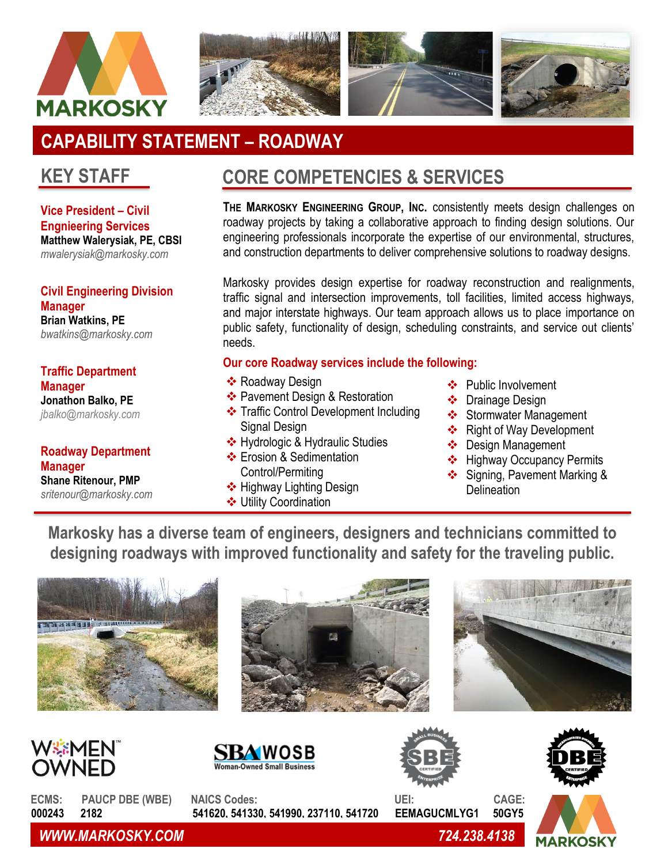



# **CAPABILITY STATEMENT – ROADWAY**

**Vice President – Civil Engnieering Services Matthew Walerysiak, PE, CBSI** *mwalerysiak@markosky.com*

**Civil Engineering Division Manager Brian Watkins, PE** *bwatkins@markosky.com*

**Traffic Department Manager Jonathon Balko, PE** *[jbalko@markosky.com](mailto:jbalko@markosky.com)*

**Roadway Department Manager Shane Ritenour, PMP** *sritenour@markosky.com*

## **KEY STAFF CORE COMPETENCIES & SERVICES**

**THE MARKOSKY ENGINEERING GROUP, INC.** consistently meets design challenges on roadway projects by taking a collaborative approach to finding design solutions. Our engineering professionals incorporate the expertise of our environmental, structures, and construction departments to deliver comprehensive solutions to roadway designs.

Markosky provides design expertise for roadway reconstruction and realignments, traffic signal and intersection improvements, toll facilities, limited access highways, and major interstate highways. Our team approach allows us to place importance on public safety, functionality of design, scheduling constraints, and service out clients' needs.

#### **Our core Roadway services include the following:**

- ❖ Roadway Design
- ❖ Pavement Design & Restoration
- ❖ Traffic Control Development Including Signal Design
- ❖ Hydrologic & Hydraulic Studies
- ❖ Erosion & Sedimentation Control/Permiting
- ❖ Highway Lighting Design
- ❖ Utility Coordination
- ❖ Public Involvement
- ❖ Drainage Design
- ❖ Stormwater Management
- ❖ Right of Way Development
- ❖ Design Management
- ❖ Highway Occupancy Permits
- ❖ Signing, Pavement Marking & **Delineation**

**Markosky has a diverse team of engineers, designers and technicians committed to designing roadways with improved functionality and safety for the traveling public.**

















**ECMS: PAUCP DBE (WBE) NAICS Codes: UEI: CAGE: 000243 2182 541620, 541330, 541990, 237110, 541720 EEMAGUCMLYG1 50GY5**

*WWW.MARKOSKY.COM 724.238.4138*